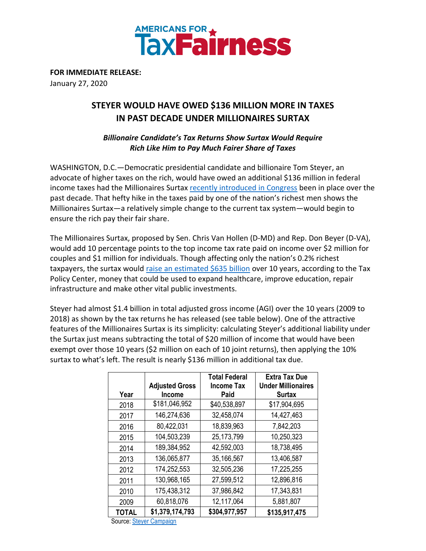

**FOR IMMEDIATE RELEASE:** January 27, 2020

## **STEYER WOULD HAVE OWED \$136 MILLION MORE IN TAXES IN PAST DECADE UNDER MILLIONAIRES SURTAX**

## *Billionaire Candidate's Tax Returns Show Surtax Would Require Rich Like Him to Pay Much Fairer Share of Taxes*

WASHINGTON, D.C.—Democratic presidential candidate and billionaire Tom Steyer, an advocate of higher taxes on the rich, would have owed an additional \$136 million in federal income taxes had the Millionaires Surtax [recently introduced in Congress](https://www.vanhollen.senate.gov/news/press-releases/van-hollen-beyer-introduce-new-millionaires-surtax-to-invest-in-working-families) been in place over the past decade. That hefty hike in the taxes paid by one of the nation's richest men shows the Millionaires Surtax—a relatively simple change to the current tax system—would begin to ensure the rich pay their fair share.

The Millionaires Surtax, proposed by Sen. Chris Van Hollen (D-MD) and Rep. Don Beyer (D-VA), would add 10 percentage points to the top income tax rate paid on income over \$2 million for couples and \$1 million for individuals. Though affecting only the nation's 0.2% richest taxpayers, the surtax would [raise an estimated \\$635 billion](http://surtax.org/wp-content/uploads/2019/10/Tax-Policy-Center-Revenue-Estimates-For-10-Surtax-FINAL.pdf) over 10 years, according to the Tax Policy Center, money that could be used to expand healthcare, improve education, repair infrastructure and make other vital public investments.

Steyer had almost \$1.4 billion in total adjusted gross income (AGI) over the 10 years (2009 to 2018) as shown by the tax returns he has released (see table below). One of the attractive features of the Millionaires Surtax is its simplicity: calculating Steyer's additional liability under the Surtax just means subtracting the total of \$20 million of income that would have been exempt over those 10 years (\$2 million on each of 10 joint returns), then applying the 10% surtax to what's left. The result is nearly \$136 million in additional tax due.

| Year         | <b>Adjusted Gross</b><br><b>Income</b> | <b>Total Federal</b><br><b>Income Tax</b><br>Paid | <b>Extra Tax Due</b><br><b>Under Millionaires</b><br><b>Surtax</b> |
|--------------|----------------------------------------|---------------------------------------------------|--------------------------------------------------------------------|
| 2018         | \$181,046,952                          | \$40,538,897                                      | \$17,904,695                                                       |
| 2017         | 146,274,636                            | 32,458,074                                        | 14,427,463                                                         |
| 2016         | 80,422,031                             | 18,839,963                                        | 7,842,203                                                          |
| 2015         | 104,503,239                            | 25,173,799                                        | 10,250,323                                                         |
| 2014         | 189,384,952                            | 42,592,003                                        | 18,738,495                                                         |
| 2013         | 136,065,877                            | 35,166,567                                        | 13,406,587                                                         |
| 2012         | 174,252,553                            | 32,505,236                                        | 17,225,255                                                         |
| 2011         | 130,968,165                            | 27,599,512                                        | 12,896,816                                                         |
| 2010         | 175,438,312                            | 37,986,842                                        | 17,343,831                                                         |
| 2009         | 60,818,076                             | 12,117,064                                        | 5,881,807                                                          |
| <b>TOTAL</b> | \$1,379,174,793                        | \$304,977,957                                     | \$135,917,475                                                      |

Source[: Steyer Campaign](https://www.tomsteyer.com/transparency/)